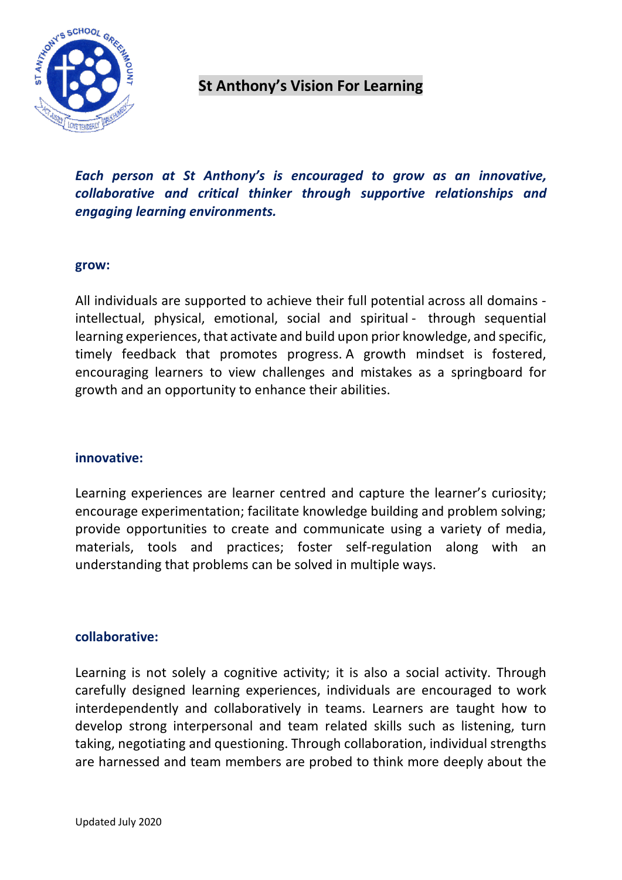

# **St Anthony's Vision For Learning**

*Each person at St Anthony's is encouraged to grow as an innovative, collaborative and critical thinker through supportive relationships and engaging learning environments.* 

#### **grow:**

All individuals are supported to achieve their full potential across all domains intellectual, physical, emotional, social and spiritual - through sequential learning experiences, that activate and build upon prior knowledge, and specific, timely feedback that promotes progress. A growth mindset is fostered, encouraging learners to view challenges and mistakes as a springboard for growth and an opportunity to enhance their abilities.

### **innovative:**

Learning experiences are learner centred and capture the learner's curiosity; encourage experimentation; facilitate knowledge building and problem solving; provide opportunities to create and communicate using a variety of media, materials, tools and practices; foster self-regulation along with an understanding that problems can be solved in multiple ways.

### **collaborative:**

Learning is not solely a cognitive activity; it is also a social activity. Through carefully designed learning experiences, individuals are encouraged to work interdependently and collaboratively in teams. Learners are taught how to develop strong interpersonal and team related skills such as listening, turn taking, negotiating and questioning. Through collaboration, individual strengths are harnessed and team members are probed to think more deeply about the